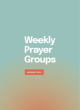## **Weekly** Prayer Groups

**summer 2022**